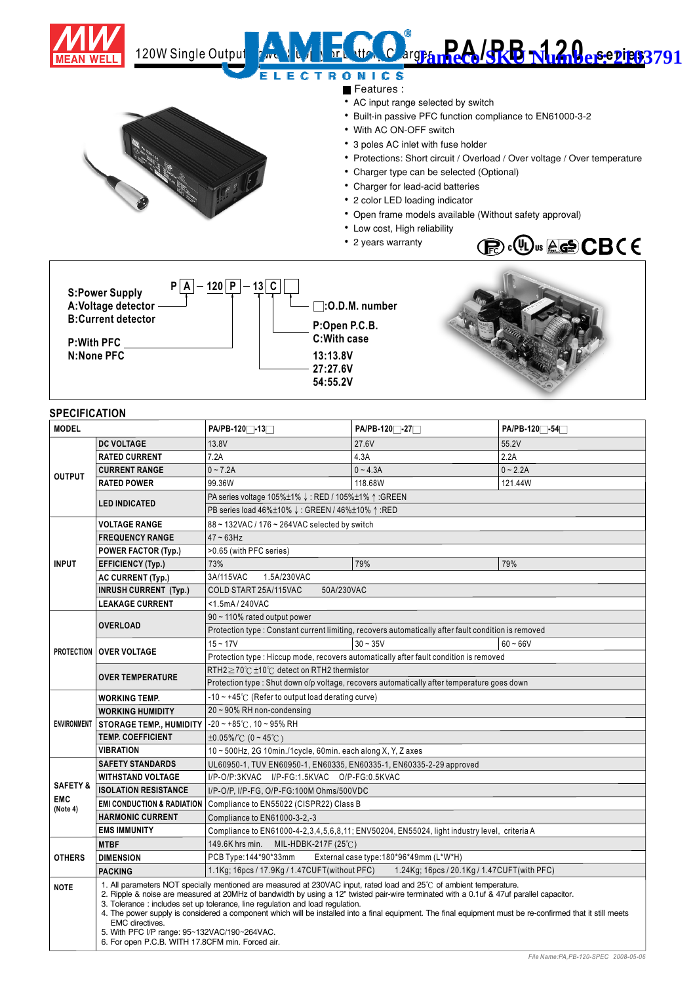

## ì 120W Single Output **Power Market Supply of Battery of Battery State State Sections 3791** E **CTRONICS**

Features :

- AC input range selected by switch
- Built-in passive PFC function compliance to EN61000-3-2
- With AC ON-OFF switch
- 3 poles AC inlet with fuse holder
- Protections: Short circuit / Overload / Over voltage / Over temperature
- Charger type can be selected (Optional)
- Charger for lead-acid batteries
- 2 color LED loading indicator
- Open frame models available (Without safety approval)
- Low cost, High reliability
- 2 years warranty



**S:Power Supply** A:Voltage detector  $\qquad \qquad \qquad$  | |  $\qquad \qquad$  **:O.D.M. number B:Current detector**  $P | A - 120 | P - 13 | C$ 

**P:With PFC**

**N:None PFC**





## **SPECIFICATION**

| <b>MODEL</b>                                  |                                                                                                                                                                                                                                                                                                                                                                                                                                                                                                                                                                                                                                              | PA/PB-120 <sup>-</sup> 13 <sup>-1</sup>                                                              | PA/PB-1201-27                               | PA/PB-120 <sup>-</sup> -54 <sup>-1</sup> |
|-----------------------------------------------|----------------------------------------------------------------------------------------------------------------------------------------------------------------------------------------------------------------------------------------------------------------------------------------------------------------------------------------------------------------------------------------------------------------------------------------------------------------------------------------------------------------------------------------------------------------------------------------------------------------------------------------------|------------------------------------------------------------------------------------------------------|---------------------------------------------|------------------------------------------|
| <b>OUTPUT</b>                                 | <b>DC VOLTAGE</b>                                                                                                                                                                                                                                                                                                                                                                                                                                                                                                                                                                                                                            | 13.8V                                                                                                | 27.6V                                       | 55.2V                                    |
|                                               | <b>RATED CURRENT</b>                                                                                                                                                                                                                                                                                                                                                                                                                                                                                                                                                                                                                         | 7.2A                                                                                                 | 4.3A                                        | 2.2A                                     |
|                                               | <b>CURRENT RANGE</b>                                                                                                                                                                                                                                                                                                                                                                                                                                                                                                                                                                                                                         | $0 - 7.2A$                                                                                           | $0 - 4.3A$                                  | $0 - 2.2A$                               |
|                                               | <b>RATED POWER</b>                                                                                                                                                                                                                                                                                                                                                                                                                                                                                                                                                                                                                           | 99.36W                                                                                               | 118.68W                                     | 121.44W                                  |
|                                               | <b>LED INDICATED</b>                                                                                                                                                                                                                                                                                                                                                                                                                                                                                                                                                                                                                         | PA series voltage 105%±1% ↓: RED / 105%±1% ↑ : GREEN                                                 |                                             |                                          |
|                                               |                                                                                                                                                                                                                                                                                                                                                                                                                                                                                                                                                                                                                                              | PB series load 46%±10% ↓: GREEN / 46%±10% ↑: RED                                                     |                                             |                                          |
| <b>INPUT</b>                                  | <b>VOLTAGE RANGE</b>                                                                                                                                                                                                                                                                                                                                                                                                                                                                                                                                                                                                                         | $88 \sim 132$ VAC / 176 ~ 264VAC selected by switch                                                  |                                             |                                          |
|                                               | <b>FREQUENCY RANGE</b>                                                                                                                                                                                                                                                                                                                                                                                                                                                                                                                                                                                                                       | $47 - 63$ Hz                                                                                         |                                             |                                          |
|                                               | <b>POWER FACTOR (Typ.)</b>                                                                                                                                                                                                                                                                                                                                                                                                                                                                                                                                                                                                                   | >0.65 (with PFC series)                                                                              |                                             |                                          |
|                                               | <b>EFFICIENCY (Typ.)</b>                                                                                                                                                                                                                                                                                                                                                                                                                                                                                                                                                                                                                     | 73%                                                                                                  | 79%                                         | 79%                                      |
|                                               | <b>AC CURRENT (Typ.)</b>                                                                                                                                                                                                                                                                                                                                                                                                                                                                                                                                                                                                                     | 3A/115VAC<br>1.5A/230VAC                                                                             |                                             |                                          |
|                                               | <b>INRUSH CURRENT (Typ.)</b>                                                                                                                                                                                                                                                                                                                                                                                                                                                                                                                                                                                                                 | COLD START 25A/115VAC<br>50A/230VAC                                                                  |                                             |                                          |
|                                               | <b>LEAKAGE CURRENT</b>                                                                                                                                                                                                                                                                                                                                                                                                                                                                                                                                                                                                                       | <1.5mA/240VAC                                                                                        |                                             |                                          |
|                                               | <b>OVERLOAD</b>                                                                                                                                                                                                                                                                                                                                                                                                                                                                                                                                                                                                                              | 90 ~ 110% rated output power                                                                         |                                             |                                          |
|                                               |                                                                                                                                                                                                                                                                                                                                                                                                                                                                                                                                                                                                                                              | Protection type : Constant current limiting, recovers automatically after fault condition is removed |                                             |                                          |
|                                               | <b>PROTECTION   OVER VOLTAGE</b>                                                                                                                                                                                                                                                                                                                                                                                                                                                                                                                                                                                                             | $15 - 17V$                                                                                           | $30 - 35V$                                  | $60 - 66V$                               |
|                                               |                                                                                                                                                                                                                                                                                                                                                                                                                                                                                                                                                                                                                                              | Protection type : Hiccup mode, recovers automatically after fault condition is removed               |                                             |                                          |
|                                               | <b>OVER TEMPERATURE</b>                                                                                                                                                                                                                                                                                                                                                                                                                                                                                                                                                                                                                      | RTH2≥70℃ ±10℃ detect on RTH2 thermistor                                                              |                                             |                                          |
|                                               |                                                                                                                                                                                                                                                                                                                                                                                                                                                                                                                                                                                                                                              | Protection type : Shut down o/p voltage, recovers automatically after temperature goes down          |                                             |                                          |
|                                               | <b>WORKING TEMP.</b>                                                                                                                                                                                                                                                                                                                                                                                                                                                                                                                                                                                                                         | $-10 \sim +45^{\circ}$ (Refer to output load derating curve)                                         |                                             |                                          |
|                                               | <b>WORKING HUMIDITY</b>                                                                                                                                                                                                                                                                                                                                                                                                                                                                                                                                                                                                                      | $20 \sim 90\%$ RH non-condensing                                                                     |                                             |                                          |
|                                               | ENVIRONMENT   STORAGE TEMP., HUMIDITY                                                                                                                                                                                                                                                                                                                                                                                                                                                                                                                                                                                                        | $-20 \sim +85^{\circ}$ C, 10 ~ 95% RH                                                                |                                             |                                          |
|                                               | <b>TEMP, COEFFICIENT</b>                                                                                                                                                                                                                                                                                                                                                                                                                                                                                                                                                                                                                     | $\pm 0.05\%$ / $\degree$ (0 ~ 45 $\degree$ C)                                                        |                                             |                                          |
|                                               | VIBRATION                                                                                                                                                                                                                                                                                                                                                                                                                                                                                                                                                                                                                                    | 10~500Hz, 2G 10min./1cycle, 60min. each along X, Y, Z axes                                           |                                             |                                          |
| <b>SAFETY &amp;</b><br><b>EMC</b><br>(Note 4) | <b>SAFETY STANDARDS</b>                                                                                                                                                                                                                                                                                                                                                                                                                                                                                                                                                                                                                      | UL60950-1, TUV EN60950-1, EN60335, EN60335-1, EN60335-2-29 approved                                  |                                             |                                          |
|                                               | <b>WITHSTAND VOLTAGE</b>                                                                                                                                                                                                                                                                                                                                                                                                                                                                                                                                                                                                                     | I/P-O/P:3KVAC I/P-FG:1.5KVAC O/P-FG:0.5KVAC                                                          |                                             |                                          |
|                                               | <b>ISOLATION RESISTANCE</b>                                                                                                                                                                                                                                                                                                                                                                                                                                                                                                                                                                                                                  | I/P-O/P, I/P-FG, O/P-FG:100M Ohms/500VDC                                                             |                                             |                                          |
|                                               | <b>EMI CONDUCTION &amp; RADIATION</b>                                                                                                                                                                                                                                                                                                                                                                                                                                                                                                                                                                                                        | Compliance to EN55022 (CISPR22) Class B                                                              |                                             |                                          |
|                                               | <b>HARMONIC CURRENT</b>                                                                                                                                                                                                                                                                                                                                                                                                                                                                                                                                                                                                                      | Compliance to EN61000-3-2,-3                                                                         |                                             |                                          |
|                                               | <b>EMS IMMUNITY</b>                                                                                                                                                                                                                                                                                                                                                                                                                                                                                                                                                                                                                          | Compliance to EN61000-4-2,3,4,5,6,8,11; ENV50204, EN55024, light industry level, criteria A          |                                             |                                          |
| <b>OTHERS</b>                                 | <b>MTBF</b>                                                                                                                                                                                                                                                                                                                                                                                                                                                                                                                                                                                                                                  | 149.6K hrs min.<br>MIL-HDBK-217F (25 $\degree$ C)                                                    |                                             |                                          |
|                                               | <b>DIMENSION</b>                                                                                                                                                                                                                                                                                                                                                                                                                                                                                                                                                                                                                             | PCB Type:144*90*33mm                                                                                 | External case type: 180*96*49mm (L*W*H)     |                                          |
|                                               | <b>PACKING</b>                                                                                                                                                                                                                                                                                                                                                                                                                                                                                                                                                                                                                               | 1.1Kg; 16pcs / 17.9Kg / 1.47CUFT(without PFC)                                                        | 1.24Kg; 16pcs / 20.1Kg / 1.47CUFT(with PFC) |                                          |
| <b>NOTE</b>                                   | 1. All parameters NOT specially mentioned are measured at 230VAC input, rated load and 25°C of ambient temperature.<br>2. Ripple & noise are measured at 20MHz of bandwidth by using a 12" twisted pair-wire terminated with a 0.1uf & 47uf parallel capacitor.<br>3. Tolerance: includes set up tolerance, line regulation and load regulation.<br>4. The power supply is considered a component which will be installed into a final equipment. The final equipment must be re-confirmed that it still meets<br><b>EMC</b> directives.<br>5. With PFC I/P range: 95~132VAC/190~264VAC.<br>6. For open P.C.B. WITH 17.8CFM min. Forced air. |                                                                                                      |                                             |                                          |